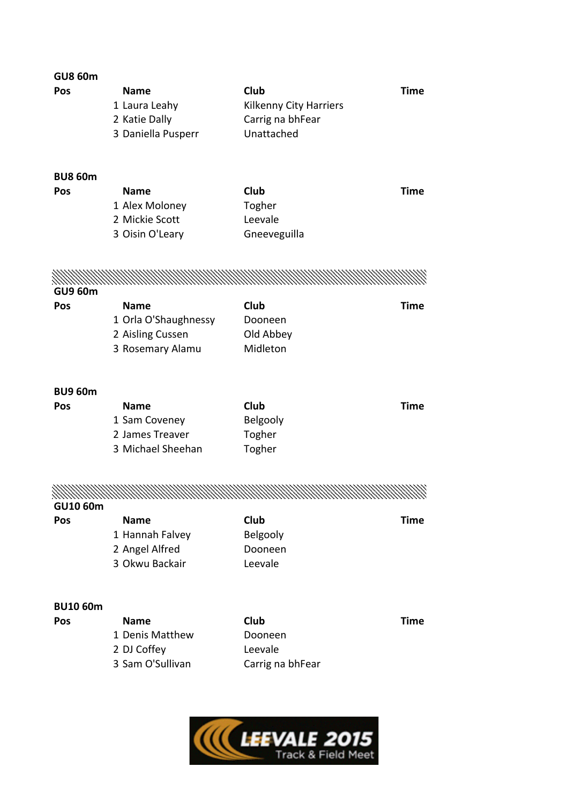| <b>GU8 60m</b><br>Pos<br><b>BU8 60m</b><br>Pos | <b>Name</b><br>1 Laura Leahy<br>2 Katie Dally<br>3 Daniella Pusperr<br><b>Name</b><br>1 Alex Moloney<br>2 Mickie Scott<br>3 Oisin O'Leary | Club<br>Kilkenny City Harriers<br>Carrig na bhFear<br>Unattached<br>Club<br>Togher<br>Leevale<br>Gneeveguilla  | Time<br>Time |
|------------------------------------------------|-------------------------------------------------------------------------------------------------------------------------------------------|----------------------------------------------------------------------------------------------------------------|--------------|
|                                                |                                                                                                                                           |                                                                                                                |              |
| <b>GU9 60m</b>                                 |                                                                                                                                           |                                                                                                                |              |
| Pos                                            | <b>Name</b>                                                                                                                               | Club                                                                                                           | Time         |
|                                                | 1 Orla O'Shaughnessy                                                                                                                      | Dooneen                                                                                                        |              |
|                                                | 2 Aisling Cussen                                                                                                                          | Old Abbey                                                                                                      |              |
|                                                | 3 Rosemary Alamu                                                                                                                          | Midleton                                                                                                       |              |
| <b>BU9 60m</b>                                 |                                                                                                                                           |                                                                                                                |              |
| Pos                                            | <b>Name</b>                                                                                                                               | Club                                                                                                           | Time         |
|                                                | 1 Sam Coveney                                                                                                                             | Belgooly                                                                                                       |              |
|                                                | 2 James Treaver                                                                                                                           | Togher                                                                                                         |              |
|                                                | 3 Michael Sheehan                                                                                                                         | Togher                                                                                                         |              |
| GU10 60m                                       |                                                                                                                                           | manaman kalendari kalendari kalendari kalendari kalendari kalendari kalendari kalendari kalendari kalendari ka |              |
| Pos                                            | <b>Name</b>                                                                                                                               | <b>Club</b>                                                                                                    | <b>Time</b>  |
|                                                | 1 Hannah Falvey                                                                                                                           | Belgooly                                                                                                       |              |
|                                                | 2 Angel Alfred                                                                                                                            | Dooneen                                                                                                        |              |
|                                                | 3 Okwu Backair                                                                                                                            | Leevale                                                                                                        |              |
| <b>BU10 60m</b>                                |                                                                                                                                           |                                                                                                                |              |
| Pos                                            | <b>Name</b>                                                                                                                               | Club                                                                                                           | <b>Time</b>  |
|                                                | 1 Denis Matthew                                                                                                                           | Dooneen                                                                                                        |              |
|                                                | 2 DJ Coffey                                                                                                                               | Leevale                                                                                                        |              |
|                                                | 3 Sam O'Sullivan                                                                                                                          | Carrig na bhFear                                                                                               |              |
|                                                |                                                                                                                                           |                                                                                                                |              |

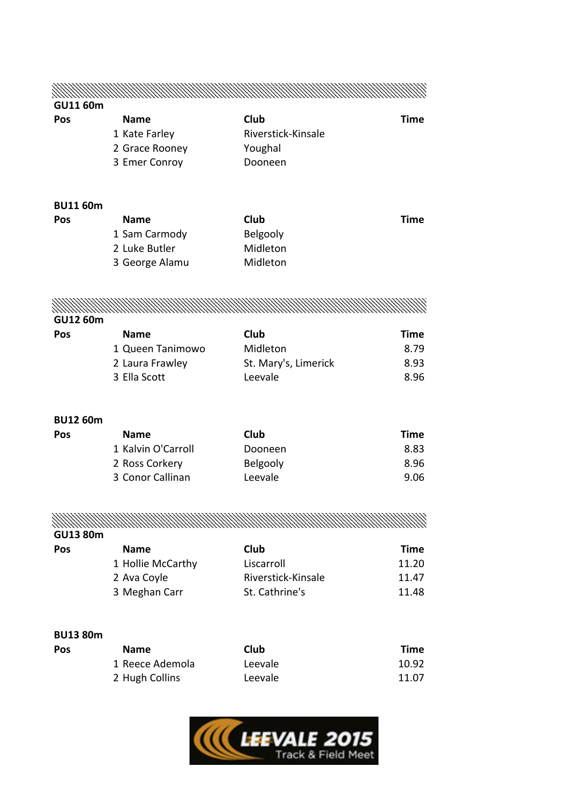| <b>GU11 60m</b> |                    |                      |             |
|-----------------|--------------------|----------------------|-------------|
| Pos             | <b>Name</b>        | Club                 | <b>Time</b> |
|                 | 1 Kate Farley      | Riverstick-Kinsale   |             |
|                 | 2 Grace Rooney     | Youghal              |             |
|                 | 3 Emer Conroy      | Dooneen              |             |
|                 |                    |                      |             |
| <b>BU11 60m</b> |                    |                      |             |
| Pos             | <b>Name</b>        | Club                 | Time        |
|                 | 1 Sam Carmody      | Belgooly             |             |
|                 | 2 Luke Butler      | Midleton             |             |
|                 | 3 George Alamu     | Midleton             |             |
|                 |                    |                      |             |
|                 |                    |                      |             |
| <b>GU12 60m</b> |                    |                      |             |
| Pos             | <b>Name</b>        | Club                 | Time        |
|                 | 1 Queen Tanimowo   | Midleton             | 8.79        |
|                 | 2 Laura Frawley    | St. Mary's, Limerick | 8.93        |
|                 | 3 Ella Scott       | Leevale              | 8.96        |
|                 |                    |                      |             |
| <b>BU12 60m</b> |                    |                      |             |
| Pos             | <b>Name</b>        | Club                 | <b>Time</b> |
|                 | 1 Kalvin O'Carroll | Dooneen              | 8.83        |
|                 | 2 Ross Corkery     | Belgooly             | 8.96        |
|                 | 3 Conor Callinan   | Leevale              | 9.06        |
|                 |                    |                      |             |
|                 |                    |                      |             |
| <b>GU13 80m</b> |                    |                      |             |
| Pos             | <b>Name</b>        | Club                 | <b>Time</b> |
|                 | 1 Hollie McCarthy  | Liscarroll           | 11.20       |
|                 | 2 Ava Coyle        | Riverstick-Kinsale   | 11.47       |
|                 | 3 Meghan Carr      | St. Cathrine's       | 11.48       |
| <b>BU13 80m</b> |                    |                      |             |
| Pos             | <b>Name</b>        | Club                 | <b>Time</b> |

| <b>Name</b>     | Club    | Time  |
|-----------------|---------|-------|
| 1 Reece Ademola | Leevale | 10.92 |
| 2 Hugh Collins  | Leevale | 11.07 |

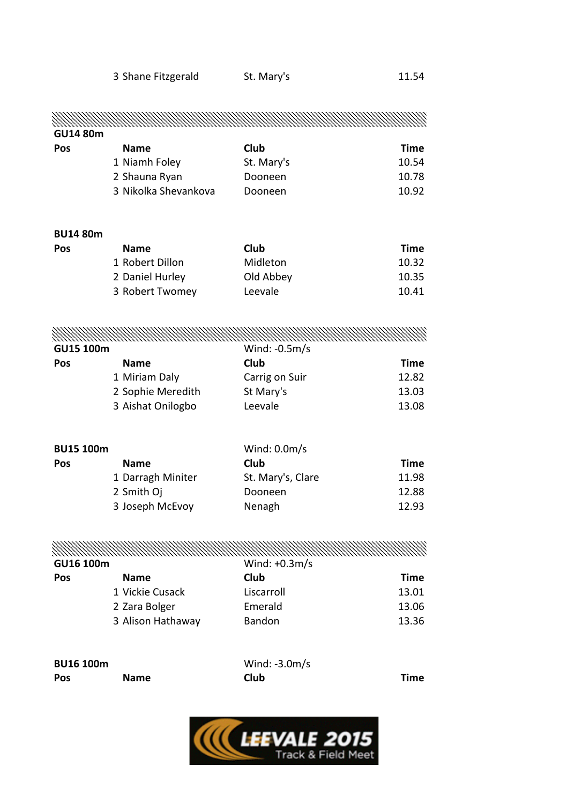| <b>GU14 80m</b>  |                      |                                |             |
|------------------|----------------------|--------------------------------|-------------|
| Pos              | <b>Name</b>          | Club                           | <b>Time</b> |
|                  | 1 Niamh Foley        | St. Mary's                     | 10.54       |
|                  | 2 Shauna Ryan        | Dooneen                        | 10.78       |
|                  | 3 Nikolka Shevankova | Dooneen                        | 10.92       |
| <b>BU14 80m</b>  |                      |                                |             |
| Pos              | <b>Name</b>          | Club                           | <b>Time</b> |
|                  | 1 Robert Dillon      | Midleton                       | 10.32       |
|                  | 2 Daniel Hurley      | Old Abbey                      | 10.35       |
|                  | 3 Robert Twomey      | Leevale                        | 10.41       |
|                  |                      |                                |             |
| GU15 100m        |                      | Wind: -0.5m/s                  |             |
| Pos              | <b>Name</b>          | <b>Club</b>                    | <b>Time</b> |
|                  | 1 Miriam Daly        | Carrig on Suir                 | 12.82       |
|                  | 2 Sophie Meredith    | St Mary's                      | 13.03       |
|                  | 3 Aishat Onilogbo    | Leevale                        | 13.08       |
| <b>BU15 100m</b> |                      | Wind: $0.0m/s$                 |             |
| Pos              | <b>Name</b>          | Club                           | <b>Time</b> |
|                  | 1 Darragh Miniter    | St. Mary's, Clare              | 11.98       |
|                  | 2 Smith Oj           | Dooneen                        | 12.88       |
|                  | 3 Joseph McEvoy      | Nenagh                         | 12.93       |
|                  |                      |                                |             |
| GU16 100m        |                      | Wind: $+0.3m/s$                |             |
| Pos              | <b>Name</b>          | Club                           | <b>Time</b> |
|                  | 1 Vickie Cusack      | Liscarroll                     | 13.01       |
|                  | 2 Zara Bolger        | Emerald                        | 13.06       |
|                  | 3 Alison Hathaway    | <b>Bandon</b>                  | 13.36       |
| <b>BU16 100m</b> |                      |                                |             |
| Pos              | <b>Name</b>          | Wind: $-3.0m/s$<br><b>Club</b> | Time        |
|                  |                      |                                |             |

3 Shane Fitzgerald St. Mary's 3 Shane Fitzgerald St. Mary's

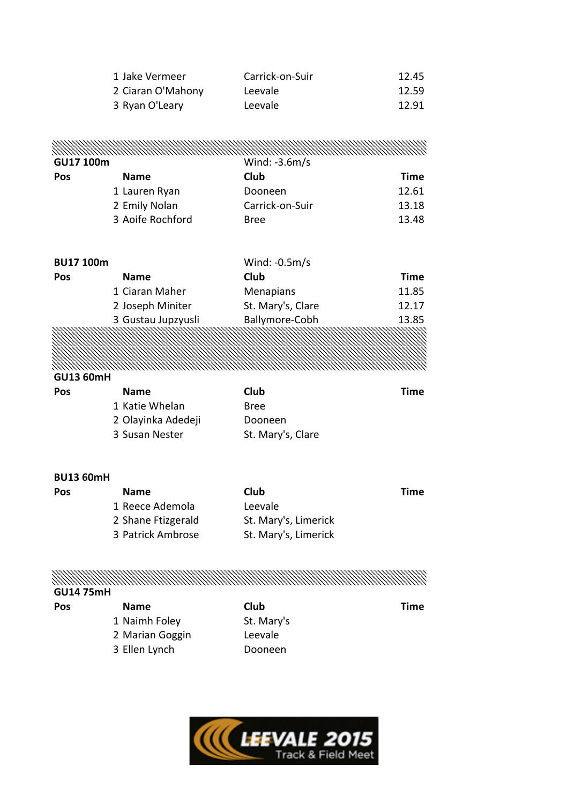| 1 Jake Vermeer    | Carrick-on-Suir | 12.45 |
|-------------------|-----------------|-------|
| 2 Ciaran O'Mahony | Leevale         | 12.59 |
| 3 Ryan O'Leary    | Leevale         | 12.91 |

|                  |                  | MANAMAN MANAMAN MANAMAN MANAMAN MANAMAN MANAMAN MANAMAN MANAMAN MANAMAN MANAMAN MANAMAN MANAMAN MANAMAN MANAMA |       |
|------------------|------------------|----------------------------------------------------------------------------------------------------------------|-------|
| <b>GU17 100m</b> |                  | Wind: $-3.6m/s$                                                                                                |       |
| Pos              | <b>Name</b>      | Club                                                                                                           | Time  |
|                  | 1 Lauren Ryan    | Dooneen                                                                                                        | 12.61 |
|                  | 2 Emily Nolan    | Carrick-on-Suir                                                                                                | 13.18 |
|                  | 3 Aoife Rochford | <b>Bree</b>                                                                                                    | 13.48 |

| <b>BU17 100m</b> |                    | Wind: $-0.5m/s$   |             |
|------------------|--------------------|-------------------|-------------|
| Pos              | <b>Name</b>        | Club              | <b>Time</b> |
|                  | 1 Ciaran Maher     | <b>Menapians</b>  | 11.85       |
|                  | 2 Joseph Miniter   | St. Mary's, Clare | 12.17       |
|                  | 3 Gustau Jupzyusli | Ballymore-Cobh    | 13.85       |
|                  |                    |                   |             |

#### Ź, **GU13 60mH**

| Pos | <b>Name</b>        | <b>Club</b>       | Time |
|-----|--------------------|-------------------|------|
|     | 1 Katie Whelan     | Bree              |      |
|     | 2 Olayinka Adedeji | Dooneen           |      |
|     | 3 Susan Nester     | St. Mary's, Clare |      |

#### **BU13 60mH**

| <b>Pos</b> | <b>Name</b>        | Club                 | Time |
|------------|--------------------|----------------------|------|
|            | 1 Reece Ademola    | Leevale              |      |
|            | 2 Shane Ftizgerald | St. Mary's, Limerick |      |
|            | 3 Patrick Ambrose  | St. Mary's, Limerick |      |

# <u>MANAMA MANAMA MANAMA MANAMA MANAMA MANAMA MANAMA MANAMA MANAMA MANAMA MANAMA MANAMA MANAMA MANAMA MANAMA MANA</u>

## **GU14 75mH**

| Pos | <b>Name</b>     | Club       | Time |
|-----|-----------------|------------|------|
|     | 1 Naimh Foley   | St. Mary's |      |
|     | 2 Marian Goggin | Leevale    |      |
|     | 3 Ellen Lynch   | Dooneen    |      |
|     |                 |            |      |

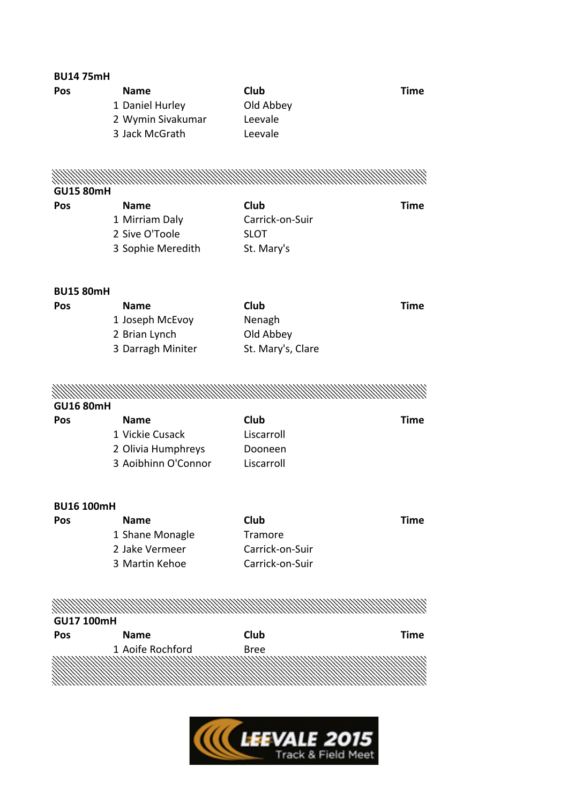| <b>BU1475mH</b>   |                     |                   |             |
|-------------------|---------------------|-------------------|-------------|
| Pos               | <b>Name</b>         | Club              | <b>Time</b> |
|                   | 1 Daniel Hurley     | Old Abbey         |             |
|                   | 2 Wymin Sivakumar   | Leevale           |             |
|                   | 3 Jack McGrath      | Leevale           |             |
|                   |                     |                   |             |
|                   |                     |                   |             |
| <b>GU15 80mH</b>  |                     |                   |             |
| Pos               | <b>Name</b>         | Club              | <b>Time</b> |
|                   | 1 Mirriam Daly      | Carrick-on-Suir   |             |
|                   | 2 Sive O'Toole      | <b>SLOT</b>       |             |
|                   | 3 Sophie Meredith   | St. Mary's        |             |
|                   |                     |                   |             |
| <b>BU15 80mH</b>  |                     |                   |             |
| Pos               | <b>Name</b>         | Club              | <b>Time</b> |
|                   | 1 Joseph McEvoy     | Nenagh            |             |
|                   | 2 Brian Lynch       | Old Abbey         |             |
|                   | 3 Darragh Miniter   | St. Mary's, Clare |             |
|                   |                     |                   |             |
|                   |                     |                   |             |
|                   |                     |                   |             |
| <b>GU16 80mH</b>  |                     |                   |             |
| Pos               | <b>Name</b>         | Club              | <b>Time</b> |
|                   | 1 Vickie Cusack     | Liscarroll        |             |
|                   | 2 Olivia Humphreys  | Dooneen           |             |
|                   | 3 Aoibhinn O'Connor | Liscarroll        |             |
|                   |                     |                   |             |
| <b>BU16 100mH</b> |                     |                   |             |
| Pos               | <b>Name</b>         | Club              | <b>Time</b> |
|                   | 1 Shane Monagle     | Tramore           |             |
|                   | 2 Jake Vermeer      | Carrick-on-Suir   |             |
|                   | 3 Martin Kehoe      | Carrick-on-Suir   |             |
|                   |                     |                   |             |
|                   |                     |                   |             |
| GU17 100mH        |                     |                   |             |
| Pos               | <b>Name</b>         | Club              | <b>Time</b> |
|                   | 1 Aoife Rochford    | <b>Bree</b>       |             |
|                   |                     |                   |             |
|                   |                     |                   |             |
|                   |                     |                   |             |

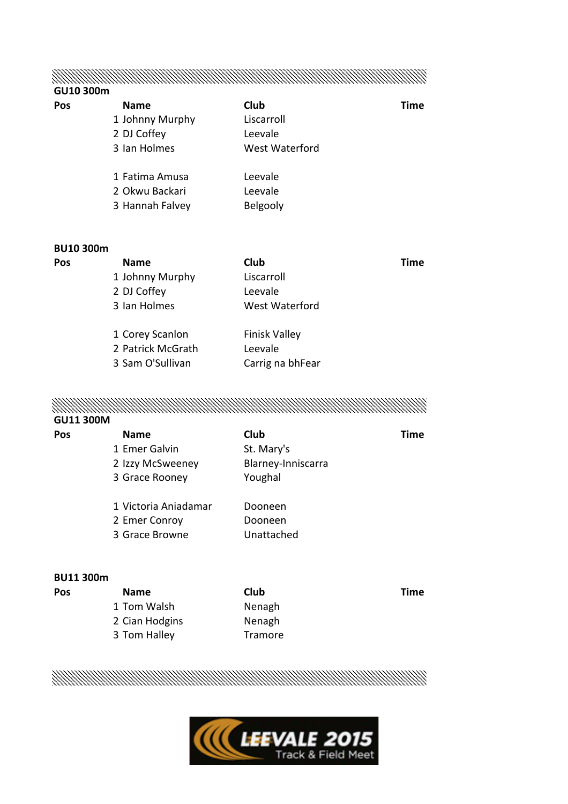## MANAMA MANAMA MANAMA MANAMA MANAMA MANAMA MANAMA MANAMA MANAMA MANAMA MANAMA MANAMA MANAMA MANAMA MANAMA MANAM

#### **GU10 300m**

| Pos | <b>Name</b>     | Club           | Time |
|-----|-----------------|----------------|------|
|     | 1 Johnny Murphy | Liscarroll     |      |
|     | 2 DJ Coffey     | Leevale        |      |
|     | 3 Ian Holmes    | West Waterford |      |
|     | 1 Fatima Amusa  | Leevale        |      |
|     | 2 Okwu Backari  | Leevale        |      |
|     | 3 Hannah Falvey | Belgooly       |      |
|     |                 |                |      |

#### **BU10 300m**

| Pos | <b>Name</b>       | Club                 | Time |
|-----|-------------------|----------------------|------|
|     | 1 Johnny Murphy   | Liscarroll           |      |
|     | 2 DJ Coffey       | Leevale              |      |
|     | 3 Ian Holmes      | West Waterford       |      |
|     | 1 Corey Scanlon   | <b>Finisk Valley</b> |      |
|     | 2 Patrick McGrath | Leevale              |      |
|     | 3 Sam O'Sullivan  | Carrig na bhFear     |      |
|     |                   |                      |      |

# 

#### **GU11 300M**

| Time |
|------|
|      |
|      |
|      |
|      |
|      |
|      |
|      |

#### **BU11 300m**

| <b>Name</b>    | Club    | Time |
|----------------|---------|------|
| 1 Tom Walsh    | Nenagh  |      |
| 2 Cian Hodgins | Nenagh  |      |
| 3 Tom Halley   | Tramore |      |
|                |         |      |

MANAMA MANAMA MANAMA MANAMA MANAMA MANAMA MANAMA MANAMA MANAMA MANAMA MANAMA MANAMA MANAMA MANAMA MANAMA MANAM

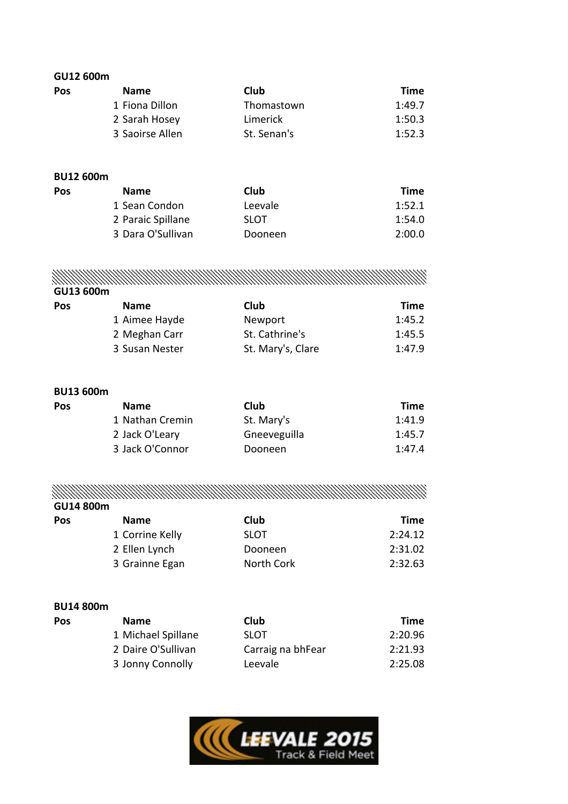| GU12 600m  |                 |             |             |
|------------|-----------------|-------------|-------------|
| <b>Pos</b> | <b>Name</b>     | Club        | <b>Time</b> |
|            | 1 Fiona Dillon  | Thomastown  | 1:49.7      |
|            | 2 Sarah Hosey   | Limerick    | 1:50.3      |
|            | 3 Saoirse Allen | St. Senan's | 1:52.3      |

#### **BU12 600m**

| Pos | <b>Name</b>       | Club        | <b>Time</b> |
|-----|-------------------|-------------|-------------|
|     | 1 Sean Condon     | Leevale     | 1:52.1      |
|     | 2 Paraic Spillane | <b>SLOT</b> | 1:54.0      |
|     | 3 Dara O'Sullivan | Dooneen     | 2:00.0      |

MANAMA MANAMA MANAMA MWA MWA MWA MWA MARAMA WA MARAMA WA MARAMA WA MARAMA WA MARAMA MARAMA WA MARAMA MARAMA WA

**GU13 600m**

| Pos | <b>Name</b>    | Club              | Time   |
|-----|----------------|-------------------|--------|
|     | 1 Aimee Hayde  | Newport           | 1:45.2 |
|     | 2 Meghan Carr  | St. Cathrine's    | 1:45.5 |
|     | 3 Susan Nester | St. Mary's, Clare | 1:47.9 |

#### **BU13 600m**

| Pos | <b>Name</b>     | Club         | Time   |
|-----|-----------------|--------------|--------|
|     | 1 Nathan Cremin | St. Mary's   | 1:41.9 |
|     | 2 Jack O'Leary  | Gneeveguilla | 1:45.7 |
|     | 3 Jack O'Connor | Dooneen      | 1:47.4 |
|     |                 |              |        |

<u> MANAMA MANAMA MANAMA MANAMA MANAMA MANAMA MANAMA MANAMA MANAMA MANAMA MANAMA MANAMA MANAMA MANAMA MANAMA MANA</u> **GU14 800m**

| Pos | <b>Name</b>     | Club        | Time    |
|-----|-----------------|-------------|---------|
|     | 1 Corrine Kelly | <b>SLOT</b> | 2:24.12 |
|     | 2 Ellen Lynch   | Dooneen     | 2:31.02 |
|     | 3 Grainne Egan  | North Cork  | 2:32.63 |

#### **BU14 800m**

| Pos | <b>Name</b>        | Club              | <b>Time</b> |
|-----|--------------------|-------------------|-------------|
|     | 1 Michael Spillane | <b>SLOT</b>       | 2:20.96     |
|     | 2 Daire O'Sullivan | Carraig na bhFear | 2:21.93     |
|     | 3 Jonny Connolly   | Leevale           | 2:25.08     |
|     |                    |                   |             |

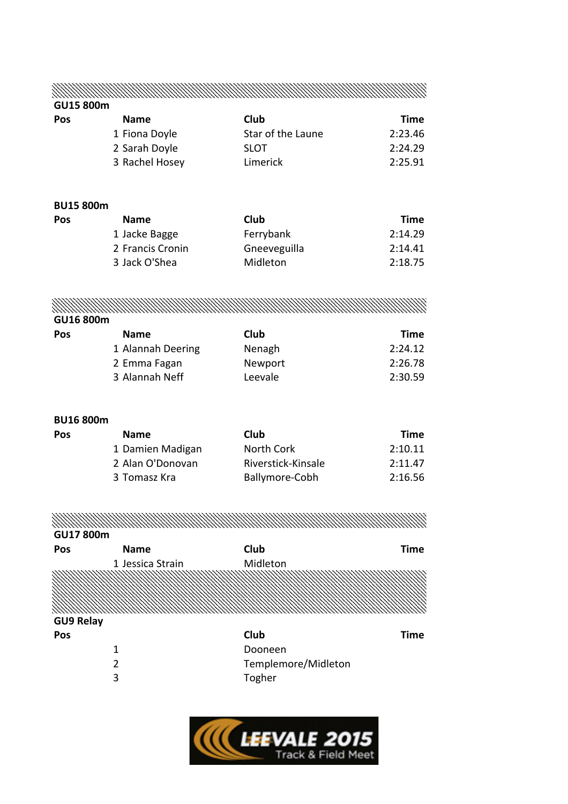MANAMA MANAMA MANAMA MWA MWA MWA MWA MARAMA WA MARAMA WA MARAMA WA MARAMA WA MARAMA MA MARAMA WA MARAMA MARAMA

#### **GU15 800m**

| Pos | <b>Name</b>    | Club              | Time    |
|-----|----------------|-------------------|---------|
|     | 1 Fiona Doyle  | Star of the Laune | 2:23.46 |
|     | 2 Sarah Doyle  | <b>SLOT</b>       | 2:24.29 |
|     | 3 Rachel Hosey | Limerick          | 2:25.91 |

#### **BU15 800m**

| <b>Time</b> |
|-------------|
| 2:14.29     |
| 2:14.41     |
| 2:18.75     |
|             |

n Sa MANAMAN MANAMAN MANAMAN MANAMAN MANAMAN MANAMAN MANAMAN MANAMAN MANAMAN MANAMAN MANAMAN MANAMAN MANAMAN MANAMA **GU16 800m**

| Pos | <b>Name</b>       | Club    | Time    |
|-----|-------------------|---------|---------|
|     | 1 Alannah Deering | Nenagh  | 2:24.12 |
|     | 2 Emma Fagan      | Newport | 2:26.78 |
|     | 3 Alannah Neff    | Leevale | 2:30.59 |

#### **BU16 800m**

| <b>Name</b>      | Club               | Time    |
|------------------|--------------------|---------|
| 1 Damien Madigan | North Cork         | 2:10.11 |
| 2 Alan O'Donovan | Riverstick-Kinsale | 2:11.47 |
| 3 Tomasz Kra     | Ballymore-Cobh     | 2:16.56 |
|                  |                    |         |

MANAMA MANAMA MANAMA MWA MWA MARAMA WA 1979 88.11.11.11.11.11

#### **GU17 800m**

| OUTTOUTH         |                  |                     |             |
|------------------|------------------|---------------------|-------------|
| Pos              | <b>Name</b>      | Club                | <b>Time</b> |
|                  | 1 Jessica Strain | Midleton            |             |
|                  |                  |                     |             |
|                  |                  |                     |             |
|                  |                  |                     |             |
| <b>GU9 Relay</b> |                  |                     |             |
| Pos              |                  | Club                | <b>Time</b> |
|                  | 1                | Dooneen             |             |
|                  | 2                | Templemore/Midleton |             |
|                  | 3                | Togher              |             |
|                  |                  |                     |             |

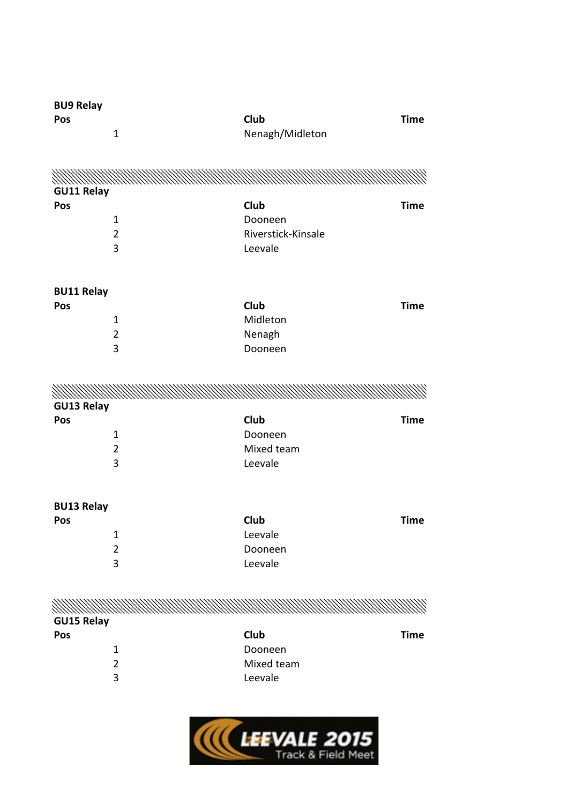| <b>BU9 Relay</b>  |                |                    |             |
|-------------------|----------------|--------------------|-------------|
| Pos               |                | Club               | <b>Time</b> |
|                   | $\mathbf{1}$   | Nenagh/Midleton    |             |
|                   |                |                    |             |
|                   |                |                    |             |
|                   |                |                    |             |
| <b>GU11 Relay</b> |                |                    |             |
| Pos               |                | <b>Club</b>        | <b>Time</b> |
|                   | $\mathbf{1}$   | Dooneen            |             |
|                   | $\overline{2}$ | Riverstick-Kinsale |             |
|                   | 3              | Leevale            |             |
|                   |                |                    |             |
|                   |                |                    |             |
| <b>BU11 Relay</b> |                |                    |             |
| Pos               |                | <b>Club</b>        | <b>Time</b> |
|                   | $\mathbf{1}$   | Midleton           |             |
|                   | $\overline{2}$ | Nenagh             |             |
|                   | 3              | Dooneen            |             |
|                   |                |                    |             |
|                   |                |                    |             |
|                   |                |                    |             |
| <b>GU13 Relay</b> |                |                    |             |
| Pos               |                | <b>Club</b>        | <b>Time</b> |
|                   | $\mathbf{1}$   | Dooneen            |             |
|                   | $\overline{2}$ | Mixed team         |             |
|                   | 3              | Leevale            |             |
|                   |                |                    |             |
|                   |                |                    |             |
| <b>BU13 Relay</b> |                |                    |             |
| Pos               |                | <b>Club</b>        | <b>Time</b> |
|                   | $\mathbf{1}$   | Leevale            |             |
|                   | $\overline{2}$ | Dooneen            |             |
|                   | 3              | Leevale            |             |
|                   |                |                    |             |
|                   |                |                    |             |
|                   |                |                    |             |
| <b>GU15 Relay</b> |                |                    |             |
| Pos               |                | Club               | <b>Time</b> |
|                   | $\mathbf{1}$   | Dooneen            |             |
|                   | $\overline{2}$ | Mixed team         |             |
|                   | 3              | Leevale            |             |
|                   |                |                    |             |

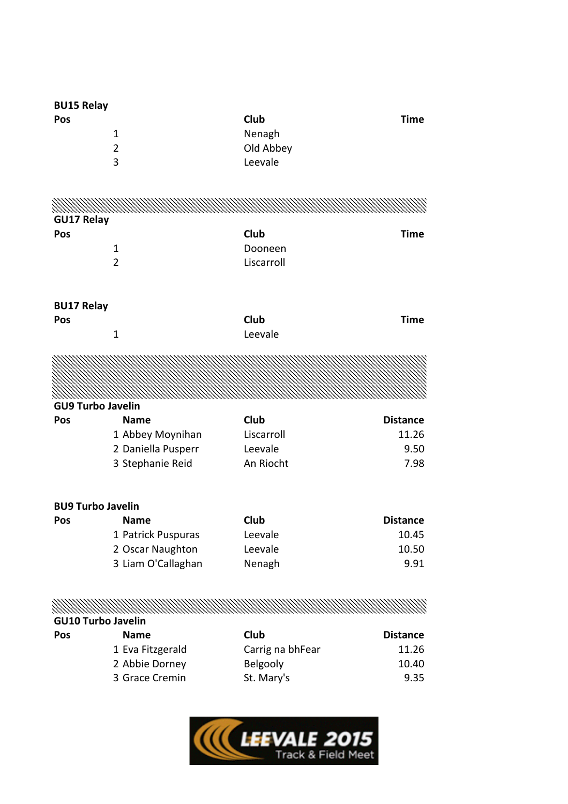| <b>BU15 Relay</b>         |                    |                  |                 |
|---------------------------|--------------------|------------------|-----------------|
| Pos                       |                    | Club             | <b>Time</b>     |
|                           | 1                  | Nenagh           |                 |
|                           | $\overline{2}$     | Old Abbey        |                 |
|                           | 3                  | Leevale          |                 |
|                           |                    |                  |                 |
|                           |                    |                  |                 |
| <b>GU17 Relay</b>         |                    |                  |                 |
| Pos                       |                    | Club             | <b>Time</b>     |
|                           | 1                  | Dooneen          |                 |
|                           | $\overline{2}$     | Liscarroll       |                 |
| <b>BU17 Relay</b>         |                    |                  |                 |
| Pos                       |                    | <b>Club</b>      | <b>Time</b>     |
|                           | $\mathbf 1$        | Leevale          |                 |
|                           |                    |                  |                 |
|                           |                    |                  |                 |
| <b>GU9 Turbo Javelin</b>  |                    |                  |                 |
| Pos                       | <b>Name</b>        | <b>Club</b>      | <b>Distance</b> |
|                           | 1 Abbey Moynihan   | Liscarroll       | 11.26           |
|                           | 2 Daniella Pusperr | Leevale          | 9.50            |
|                           | 3 Stephanie Reid   | An Riocht        | 7.98            |
| <b>BU9 Turbo Javelin</b>  |                    |                  |                 |
| <b>Pos</b>                | <b>Name</b>        | <b>Club</b>      | <b>Distance</b> |
|                           | 1 Patrick Puspuras | Leevale          | 10.45           |
|                           | 2 Oscar Naughton   | Leevale          | 10.50           |
|                           | 3 Liam O'Callaghan | Nenagh           | 9.91            |
|                           |                    |                  |                 |
|                           |                    |                  |                 |
| <b>GU10 Turbo Javelin</b> |                    |                  |                 |
| Pos                       | <b>Name</b>        | <b>Club</b>      | <b>Distance</b> |
|                           | 1 Eva Fitzgerald   | Carrig na bhFear | 11.26           |
|                           | 2 Abbie Dorney     | Belgooly         | 10.40           |
|                           | 3 Grace Cremin     | St. Mary's       | 9.35            |

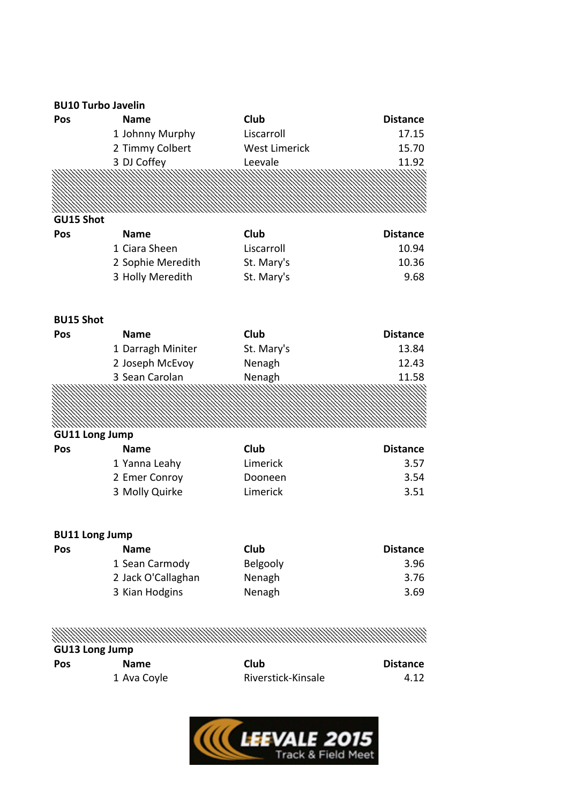#### **BU10 Turbo Javelin**

| Pos                   | <b>Name</b>        | <b>Club</b>          | <b>Distance</b> |
|-----------------------|--------------------|----------------------|-----------------|
|                       | 1 Johnny Murphy    | Liscarroll           | 17.15           |
|                       | 2 Timmy Colbert    | <b>West Limerick</b> | 15.70           |
|                       | 3 DJ Coffey        | Leevale              | 11.92           |
|                       |                    |                      |                 |
|                       |                    |                      |                 |
|                       |                    |                      |                 |
| GU15 Shot             |                    |                      |                 |
| Pos                   | Name               | <b>Club</b>          | <b>Distance</b> |
|                       | 1 Ciara Sheen      | Liscarroll           | 10.94           |
|                       | 2 Sophie Meredith  | St. Mary's           | 10.36           |
|                       | 3 Holly Meredith   | St. Mary's           | 9.68            |
| <b>BU15 Shot</b>      |                    |                      |                 |
| Pos                   | <b>Name</b>        | Club                 | <b>Distance</b> |
|                       | 1 Darragh Miniter  | St. Mary's           | 13.84           |
|                       | 2 Joseph McEvoy    | Nenagh               | 12.43           |
|                       | 3 Sean Carolan     | Nenagh               | 11.58           |
|                       |                    |                      |                 |
|                       |                    |                      |                 |
|                       |                    |                      |                 |
| <b>GU11 Long Jump</b> |                    |                      |                 |
| Pos                   | <b>Name</b>        | Club                 | <b>Distance</b> |
|                       | 1 Yanna Leahy      | Limerick             | 3.57            |
|                       | 2 Emer Conroy      | Dooneen              | 3.54            |
|                       | 3 Molly Quirke     | Limerick             | 3.51            |
|                       |                    |                      |                 |
| <b>BU11 Long Jump</b> |                    |                      |                 |
| Pos                   | <b>Name</b>        | <b>Club</b>          | <b>Distance</b> |
|                       | 1 Sean Carmody     | Belgooly             | 3.96            |
|                       | 2 Jack O'Callaghan | Nenagh               | 3.76            |
|                       | 3 Kian Hodgins     | Nenagh               | 3.69            |
|                       |                    |                      |                 |

MANAMA MANAMA MANAMA MANAMA MANAMA MANAMA MANAMA MANAMA MANAMA MANAMA MANAMA MANAMA MANAMA MANAMA MANAMA MANAM<br>MANAMA MANAMA MANAMA MANAMA MANAMA MANAMA MANAMA MANAMA MANAMA MANAMA MANAMA MANAMA MANAMA MANAMA MANAMA MANAM

|     | <b>GU13 Long Jump</b> |                    |                 |
|-----|-----------------------|--------------------|-----------------|
| Pos | <b>Name</b>           | Club               | <b>Distance</b> |
|     | 1 Ava Coyle           | Riverstick-Kinsale | 4.12            |

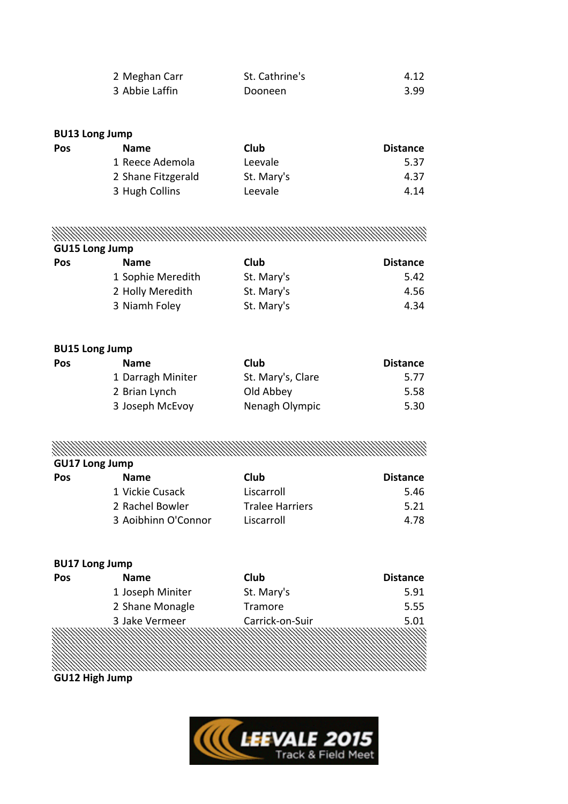| 2 Meghan Carr  | St. Cathrine's | 4.12 |
|----------------|----------------|------|
| 3 Abbie Laffin | Dooneen        | 3.99 |

#### **BU13 Long Jump**

| Pos | <b>Name</b>        | Club       | <b>Distance</b> |
|-----|--------------------|------------|-----------------|
|     | 1 Reece Ademola    | Leevale    | 5.37            |
|     | 2 Shane Fitzgerald | St. Mary's | 4.37            |
|     | 3 Hugh Collins     | Leevale    | 4.14            |
|     |                    |            |                 |

## MANAMA MANAMA MANAMA MANAMA MANAMA MANAMA MANAMA MANAMA MANAMA MANAMA MANAMA MANAMA MANAMA MANAMA MANAMA MANAM

| <b>GU15 Long Jump</b> |  |  |
|-----------------------|--|--|
|-----------------------|--|--|

| Pos | <b>Name</b>       | Club       | <b>Distance</b> |
|-----|-------------------|------------|-----------------|
|     | 1 Sophie Meredith | St. Mary's | 5.42            |
|     | 2 Holly Meredith  | St. Mary's | 4.56            |
|     | 3 Niamh Foley     | St. Mary's | 4.34            |

#### **BU15 Long Jump**

| Pos | <b>Name</b>       | Club              | <b>Distance</b> |
|-----|-------------------|-------------------|-----------------|
|     | 1 Darragh Miniter | St. Mary's, Clare | 5.77            |
|     | 2 Brian Lynch     | Old Abbey         | 5.58            |
|     | 3 Joseph McEvoy   | Nenagh Olympic    | 5.30            |

MANAMA MANAMA MANAMA MANAMA MANAMA MANAMA MANAMA MANAMA MANAMA MANAMA MANAMA MANAMA MANAMA MANAMA MANAMA MANAM

| <b>GU17 Long Jump</b> |                     |                        |                 |  |
|-----------------------|---------------------|------------------------|-----------------|--|
| <b>Pos</b>            | <b>Name</b>         | Club                   | <b>Distance</b> |  |
|                       | 1 Vickie Cusack     | Liscarroll             | 5.46            |  |
|                       | 2 Rachel Bowler     | <b>Tralee Harriers</b> | 5.21            |  |
|                       | 3 Aoibhinn O'Connor | Liscarroll             | 4.78            |  |

#### **BU17 Long Jump**

| <b>Pos</b> | <b>Name</b>      | <b>Club</b>     | <b>Distance</b> |
|------------|------------------|-----------------|-----------------|
|            | 1 Joseph Miniter | St. Mary's      | 5.91            |
|            | 2 Shane Monagle  | Tramore         | 5.55            |
|            | 3 Jake Vermeer   | Carrick-on-Suir | 5.01            |
|            |                  |                 |                 |

### **GU12 High Jump**